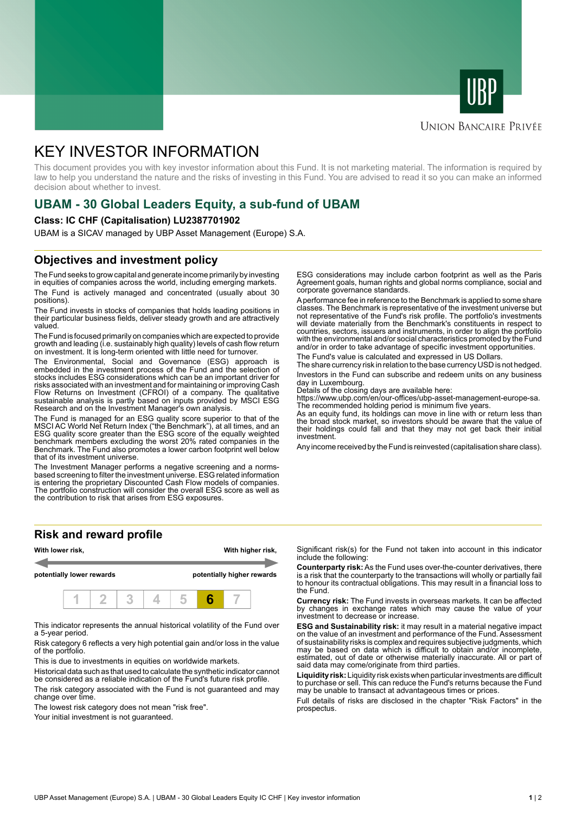



### **UNION BANCAIRE PRIVÉE**

# KEY INVESTOR INFORMATION

This document provides you with key investor information about this Fund. It is not marketing material. The information is required by law to help you understand the nature and the risks of investing in this Fund. You are advised to read it so you can make an informed decision about whether to invest.

# **UBAM - 30 Global Leaders Equity, a sub-fund of UBAM**

### **Class: IC CHF (Capitalisation) LU2387701902**

UBAM is a SICAV managed by UBP Asset Management (Europe) S.A.

## **Objectives and investment policy**

The Fund seeks to grow capital and generate income primarily by investing in equities of companies across the world, including emerging markets. The Fund is actively managed and concentrated (usually about 30 positions).

The Fund invests in stocks of companies that holds leading positions in their particular business fields, deliver steady growth and are attractively valued.

The Fund is focused primarily on companies which are expected to provide growth and leading (i.e. sustainably high quality) levels of cash flow return on investment. It is long-term oriented with little need for turnover.

The Environmental, Social and Governance (ESG) approach is embedded in the investment process of the Fund and the selection of stocks includes ESG considerations which can be an important driver for risks associated with an investment and for maintaining or improving Cash Flow Returns on Investment (CFROI) of a company. The qualitative sustainable analysis is partly based on inputs provided by MSCI ESG Research and on the Investment Manager's own analysis.

The Fund is managed for an ESG quality score superior to that of the MSCI AC World Net Return Index ("the Benchmark"), at all times, and an ESG quality score greater than the ESG score of the equally weighted benchmark members excluding the worst 20% rated companies in the Benchmark. The Fund also promotes a lower carbon footprint well below that of its investment universe.

The Investment Manager performs a negative screening and a normsbased screening to filter the investment universe. ESG related information is entering the proprietary Discounted Cash Flow models of companies. The portfolio construction will consider the overall ESG score as well as the contribution to risk that arises from ESG exposures.

**Risk and reward profile**



This indicator represents the annual historical volatility of the Fund over a 5-year period.

Risk category 6 reflects a very high potential gain and/or loss in the value of the portfolio.

This is due to investments in equities on worldwide markets.

Historical data such as that used to calculate the synthetic indicator cannot be considered as a reliable indication of the Fund's future risk profile.

The risk category associated with the Fund is not guaranteed and may change over time.

The lowest risk category does not mean "risk free".

Your initial investment is not quaranteed.

ESG considerations may include carbon footprint as well as the Paris Agreement goals, human rights and global norms compliance, social and corporate governance standards.

A performance fee in reference to the Benchmark is applied to some share classes. The Benchmark is representative of the investment universe but not representative of the Fund's risk profile. The portfolio's investments will deviate materially from the Benchmark's constituents in respect to countries, sectors, issuers and instruments, in order to align the portfolio with the environmental and/or social characteristics promoted by the Fund and/or in order to take advantage of specific investment opportunities.

The Fund's value is calculated and expressed in US Dollars.

The share currency risk in relation to the base currency USD is not hedged. Investors in the Fund can subscribe and redeem units on any business day in Luxembourg.

Details of the closing days are available here:

https://www.ubp.com/en/our-offices/ubp-asset-management-europe-sa. The recommended holding period is minimum five years.

As an equity fund, its holdings can move in line with or return less than the broad stock market, so investors should be aware that the value of their holdings could fall and that they may not get back their initial investment.

Any income received by the Fund is reinvested (capitalisation share class).

Significant risk(s) for the Fund not taken into account in this indicator include the following:

**Counterparty risk:** As the Fund uses over-the-counter derivatives, there is a risk that the counterparty to the transactions will wholly or partially fail to honour its contractual obligations. This may result in a financial loss to the Fund.

**Currency risk:** The Fund invests in overseas markets. It can be affected by changes in exchange rates which may cause the value of your investment to decrease or increase.

**ESG and Sustainability risk:** it may result in a material negative impact on the value of an investment and performance of the Fund. Assessment of sustainability risks is complex and requires subjective judgments, which may be based on data which is difficult to obtain and/or incomplete, estimated, out of date or otherwise materially inaccurate. All or part of said data may come/originate from third parties.

**Liquidity risk:** Liquidity risk exists when particular investments are difficult to purchase or sell. This can reduce the Fund's returns because the Fund may be unable to transact at advantageous times or prices.

Full details of risks are disclosed in the chapter "Risk Factors" in the prospectus.